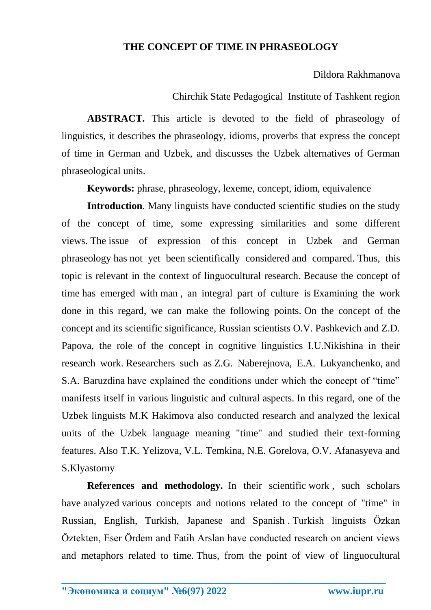## **THE CONCEPT OF TIME IN PHRASEOLOGY**

Dildora Rakhmanova

## Chirchik State Pedagogical Institute of Tashkent region

**ABSTRACT.** This article is devoted to the field of phraseology of linguistics, it describes the phraseology, idioms, proverbs that express the concept of time in German and Uzbek, and discusses the Uzbek alternatives of German phraseological units.

**Keywords:** phrase, phraseology, lexeme, concept, idiom, equivalence

**Introduction**. Many linguists have conducted scientific studies on the study of the concept of time, some expressing similarities and some different views. The issue of expression of this concept in Uzbek and German phraseology has not yet been scientifically considered and compared. Thus, this topic is relevant in the context of linguocultural research. Because the concept of time has emerged with man , an integral part of culture is Examining the work done in this regard, we can make the following points. On the concept of the concept and its scientific significance, Russian scientists O.V. Pashkevich and Z.D. Papova, the role of the concept in cognitive linguistics I.U.Nikishina in their research work. Researchers such as Z.G. Naberejnova, E.A. Lukyanchenko, and S.A. Baruzdina have explained the conditions under which the concept of "time" manifests itself in various linguistic and cultural aspects. In this regard, one of the Uzbek linguists M.K Hakimova also conducted research and analyzed the lexical units of the Uzbek language meaning "time" and studied their text-forming features. Also T.K. Yelizova, V.L. Temkina, N.E. Gorelova, O.V. Afanasyeva and S.Klyastorny

**References and methodology.** In their scientific work , such scholars have analyzed various concepts and notions related to the concept of "time" in Russian, English, Turkish, Japanese and Spanish . Turkish linguists Özkan Öztekten, Eser Ördem and Fatih Arslan have conducted research on ancient views and metaphors related to time. Thus, from the point of view of linguocultural

**\_\_\_\_\_\_\_\_\_\_\_\_\_\_\_\_\_\_\_\_\_\_\_\_\_\_\_\_\_\_\_\_\_\_\_\_\_\_\_\_\_\_\_\_\_\_\_\_\_\_\_\_\_\_\_\_\_\_\_\_\_\_\_\_**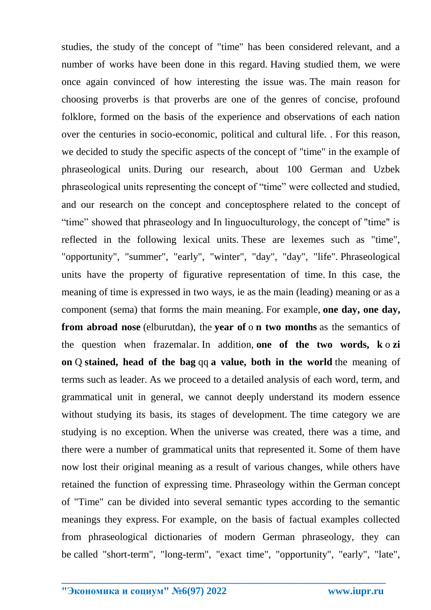studies, the study of the concept of "time" has been considered relevant, and a number of works have been done in this regard. Having studied them, we were once again convinced of how interesting the issue was. The main reason for choosing proverbs is that proverbs are one of the genres of concise, profound folklore, formed on the basis of the experience and observations of each nation over the centuries in socio-economic, political and cultural life. . For this reason, we decided to study the specific aspects of the concept of "time" in the example of phraseological units. During our research, about 100 German and Uzbek phraseological units representing the concept of "time" were collected and studied, and our research on the concept and conceptosphere related to the concept of "time" showed that phraseology and In linguoculturology, the concept of "time" is reflected in the following lexical units. These are lexemes such as "time", "opportunity", "summer", "early", "winter", "day", "day", "life". Phraseological units have the property of figurative representation of time. In this case, the meaning of time is expressed in two ways, ie as the main (leading) meaning or as a component (sema) that forms the main meaning. For example, **one day, one day, from abroad nose** (elburutdan), the **year of** o **n two months** as the semantics of the question when frazemalar. In addition, **one of the two words, k** o **zi on** Q **stained, head of the bag** qq **a value, both in the world** the meaning of terms such as leader. As we proceed to a detailed analysis of each word, term, and grammatical unit in general, we cannot deeply understand its modern essence without studying its basis, its stages of development. The time category we are studying is no exception. When the universe was created, there was a time, and there were a number of grammatical units that represented it. Some of them have now lost their original meaning as a result of various changes, while others have retained the function of expressing time. Phraseology within the German concept of "Time" can be divided into several semantic types according to the semantic meanings they express. For example, on the basis of factual examples collected from phraseological dictionaries of modern German phraseology, they can be called "short-term", "long-term", "exact time", "opportunity", "early", "late",

**\_\_\_\_\_\_\_\_\_\_\_\_\_\_\_\_\_\_\_\_\_\_\_\_\_\_\_\_\_\_\_\_\_\_\_\_\_\_\_\_\_\_\_\_\_\_\_\_\_\_\_\_\_\_\_\_\_\_\_\_\_\_\_\_**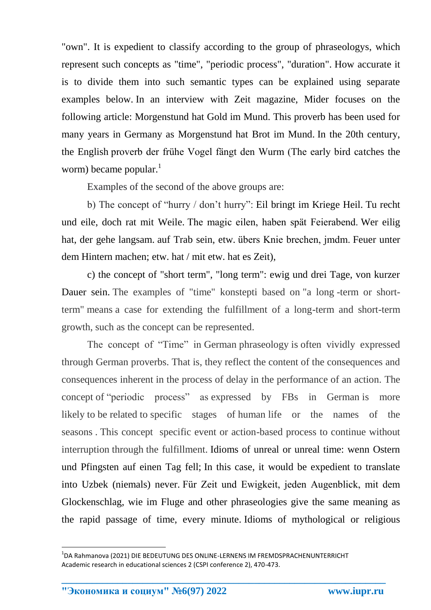"own". It is expedient to classify according to the group of phraseologys, which represent such concepts as "time", "periodic process", "duration". How accurate it is to divide them into such semantic types can be explained using separate examples below. In an interview with Zeit magazine, Mider focuses on the following article: Morgenstund hat Gold im Mund. This proverb has been used for many years in Germany as Morgenstund hat Brot im Mund. In the 20th century, the English proverb der frühe Vogel fängt den Wurm (The early bird catches the worm) became popular. $<sup>1</sup>$ </sup>

Examples of the second of the above groups are:

b) The concept of "hurry / don't hurry": Eil bringt im Kriege Heil. Tu recht und eile, doch rat mit Weile. The magic eilen, haben spät Feierabend. Wer eilig hat, der gehe langsam. auf Trab sein, etw. übers Knie brechen, jmdm. Feuer unter dem Hintern machen; etw. hat / mit etw. hat es Zeit),

c) the concept of "short term", "long term": ewig und drei Tage, von kurzer Dauer sein. The examples of "time" konstepti based on "a long -term or shortterm" means a case for extending the fulfillment of a long-term and short-term growth, such as the concept can be represented.

The concept of "Time" in German phraseology is often vividly expressed through German proverbs. That is, they reflect the content of the consequences and consequences inherent in the process of delay in the performance of an action. The concept of "periodic process" as expressed by FBs in German is more likely to be related to specific stages of human life or the names of the seasons . This concept specific event or action-based process to continue without interruption through the fulfillment. Idioms of unreal or unreal time: wenn Ostern und Pfingsten auf einen Tag fell; In this case, it would be expedient to translate into Uzbek (niemals) never. Für Zeit und Ewigkeit, jeden Augenblick, mit dem Glockenschlag, wie im Fluge and other phraseologies give the same meaning as the rapid passage of time, every minute. Idioms of mythological or religious

**\_\_\_\_\_\_\_\_\_\_\_\_\_\_\_\_\_\_\_\_\_\_\_\_\_\_\_\_\_\_\_\_\_\_\_\_\_\_\_\_\_\_\_\_\_\_\_\_\_\_\_\_\_\_\_\_\_\_\_\_\_\_\_\_**

**.** 

<sup>&</sup>lt;sup>1</sup>DA Rahmanova (2021) DIE BEDEUTUNG DES ONLINE-LERNENS IM FREMDSPRACHENUNTERRICHT Academic research in educational sciences 2 (CSPI conference 2), 470-473.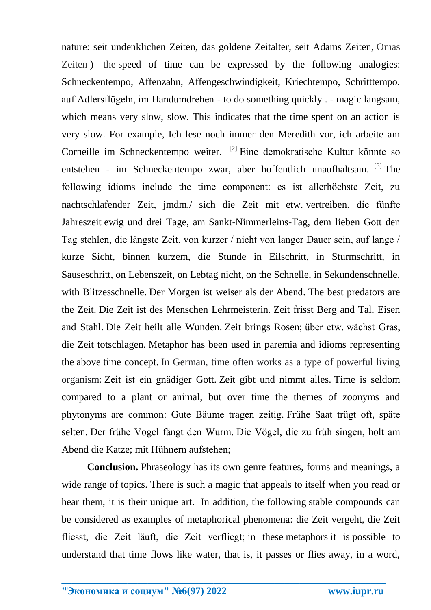nature: seit undenklichen Zeiten, das goldene Zeitalter, seit Adams Zeiten, Omas Zeiten ) the speed of time can be expressed by the following analogies: Schneckentempo, Affenzahn, Affengeschwindigkeit, Kriechtempo, Schritttempo. auf Adlersflügeln, im Handumdrehen - to do something quickly . - magic langsam, which means very slow, slow. This indicates that the time spent on an action is very slow. For example, Ich lese noch immer den Meredith vor, ich arbeite am Corneille im Schneckentempo weiter. [\[2\]](https://translate.googleusercontent.com/translate_f#_ftn2) Eine demokratische Kultur könnte so entstehen - im Schneckentempo zwar, aber hoffentlich unaufhaltsam. <sup>[\[3\]](https://translate.googleusercontent.com/translate_f#_ftn3)</sup> The following idioms include the time component: es ist allerhöchste Zeit, zu nachtschlafender Zeit, jmdm./ sich die Zeit mit etw. vertreiben, die fünfte Jahreszeit ewig und drei Tage, am Sankt-Nimmerleins-Tag, dem lieben Gott den Tag stehlen, die längste Zeit, von kurzer / nicht von langer Dauer sein, auf lange / kurze Sicht, binnen kurzem, die Stunde in Eilschritt, in Sturmschritt, in Sauseschritt, on Lebenszeit, on Lebtag nicht, on the Schnelle, in Sekundenschnelle, with Blitzesschnelle. Der Morgen ist weiser als der Abend. The best predators are the Zeit. Die Zeit ist des Menschen Lehrmeisterin. Zeit frisst Berg and Tal, Eisen and Stahl. Die Zeit heilt alle Wunden. Zeit brings Rosen; über etw. wächst Gras, die Zeit totschlagen. Metaphor has been used in paremia and idioms representing the above time concept. In German, time often works as a type of powerful living organism: Zeit ist ein gnädiger Gott. Zeit gibt und nimmt alles. Time is seldom compared to a plant or animal, but over time the themes of zoonyms and phytonyms are common: Gute Bäume tragen zeitig. Frühe Saat trügt oft, späte selten. Der frühe Vogel fängt den Wurm. Die Vögel, die zu früh singen, holt am Abend die Katze; mit Hühnern aufstehen;

**Conclusion.** Phraseology has its own genre features, forms and meanings, a wide range of topics. There is such a magic that appeals to itself when you read or hear them, it is their unique art. In addition, the following stable compounds can be considered as examples of metaphorical phenomena: die Zeit vergeht, die Zeit fliesst, die Zeit läuft, die Zeit verfliegt; in these metaphors it is possible to understand that time flows like water, that is, it passes or flies away, in a word,

**\_\_\_\_\_\_\_\_\_\_\_\_\_\_\_\_\_\_\_\_\_\_\_\_\_\_\_\_\_\_\_\_\_\_\_\_\_\_\_\_\_\_\_\_\_\_\_\_\_\_\_\_\_\_\_\_\_\_\_\_\_\_\_\_**